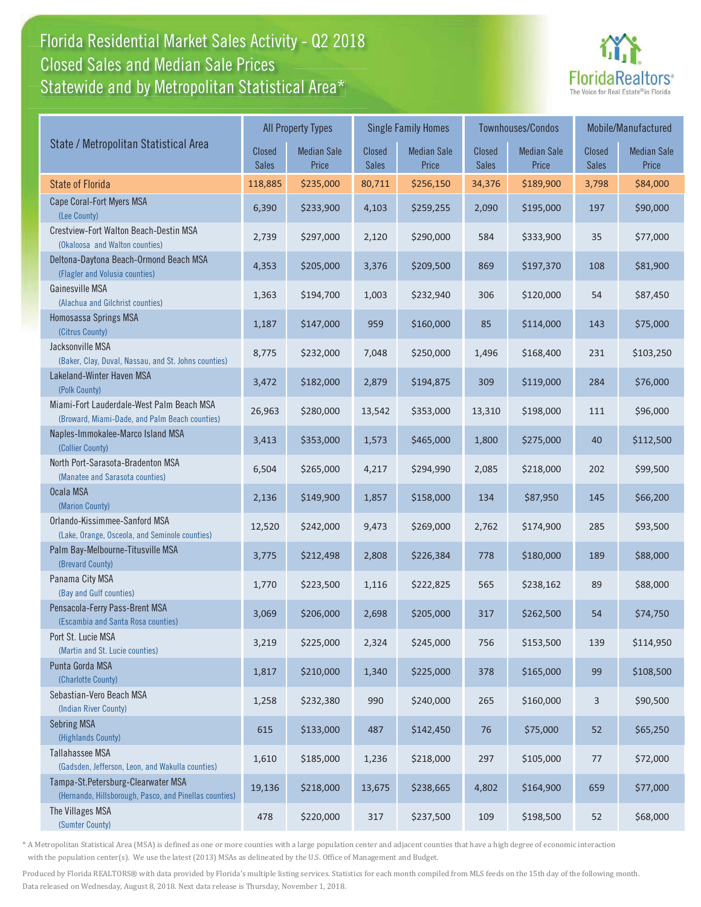#### Florida Residential Market Sales Activity - Q2 2018 Florida Residential Market Sales Activity Statewide and by Metropolitan Statistical Area $^{\star}$ Closed Sales and Median Sale Prices



|                                                                                              |                        | <b>All Property Types</b>   |                               | <b>Single Family Homes</b>  |                        | <b>Townhouses/Condos</b>    | Mobile/Manufactured    |                             |
|----------------------------------------------------------------------------------------------|------------------------|-----------------------------|-------------------------------|-----------------------------|------------------------|-----------------------------|------------------------|-----------------------------|
| State / Metropolitan Statistical Area                                                        | Closed<br><b>Sales</b> | <b>Median Sale</b><br>Price | <b>Closed</b><br><b>Sales</b> | <b>Median Sale</b><br>Price | Closed<br><b>Sales</b> | <b>Median Sale</b><br>Price | Closed<br><b>Sales</b> | <b>Median Sale</b><br>Price |
| <b>State of Florida</b>                                                                      | 118,885                | \$235,000                   | 80,711                        | \$256,150                   | 34,376                 | \$189,900                   | 3,798                  | \$84,000                    |
| Cape Coral-Fort Myers MSA<br>(Lee County)                                                    | 6,390                  | \$233,900                   | 4,103                         | \$259,255                   | 2,090                  | \$195,000                   | 197                    | \$90,000                    |
| Crestview-Fort Walton Beach-Destin MSA<br>(Okaloosa and Walton counties)                     | 2,739                  | \$297,000                   | 2,120                         | \$290,000                   | 584                    | \$333,900                   | 35                     | \$77,000                    |
| Deltona-Daytona Beach-Ormond Beach MSA<br>(Flagler and Volusia counties)                     | 4,353                  | \$205,000                   | 3,376                         | \$209,500                   | 869                    | \$197,370                   | 108                    | \$81,900                    |
| Gainesville MSA<br>(Alachua and Gilchrist counties)                                          | 1,363                  | \$194,700                   | 1,003                         | \$232,940                   | 306                    | \$120,000                   | 54                     | \$87,450                    |
| Homosassa Springs MSA<br>(Citrus County)                                                     | 1,187                  | \$147,000                   | 959                           | \$160,000                   | 85                     | \$114,000                   | 143                    | \$75,000                    |
| Jacksonville MSA<br>(Baker, Clay, Duval, Nassau, and St. Johns counties)                     | 8,775                  | \$232,000                   | 7,048                         | \$250,000                   | 1,496                  | \$168,400                   | 231                    | \$103,250                   |
| Lakeland-Winter Haven MSA<br>(Polk County)                                                   | 3,472                  | \$182,000                   | 2,879                         | \$194,875                   | 309                    | \$119,000                   | 284                    | \$76,000                    |
| Miami-Fort Lauderdale-West Palm Beach MSA<br>(Broward, Miami-Dade, and Palm Beach counties)  | 26,963                 | \$280,000                   | 13,542                        | \$353,000                   | 13,310                 | \$198,000                   | 111                    | \$96,000                    |
| Naples-Immokalee-Marco Island MSA<br>(Collier County)                                        | 3,413                  | \$353,000                   | 1,573                         | \$465,000                   | 1,800                  | \$275,000                   | 40                     | \$112,500                   |
| North Port-Sarasota-Bradenton MSA<br>(Manatee and Sarasota counties)                         | 6,504                  | \$265,000                   | 4,217                         | \$294,990                   | 2,085                  | \$218,000                   | 202                    | \$99,500                    |
| Ocala MSA<br>(Marion County)                                                                 | 2,136                  | \$149,900                   | 1,857                         | \$158,000                   | 134                    | \$87,950                    | 145                    | \$66,200                    |
| Orlando-Kissimmee-Sanford MSA<br>(Lake, Orange, Osceola, and Seminole counties)              | 12,520                 | \$242,000                   | 9,473                         | \$269,000                   | 2,762                  | \$174,900                   | 285                    | \$93,500                    |
| Palm Bay-Melbourne-Titusville MSA<br>(Brevard County)                                        | 3,775                  | \$212,498                   | 2,808                         | \$226,384                   | 778                    | \$180,000                   | 189                    | \$88,000                    |
| Panama City MSA<br>(Bay and Gulf counties)                                                   | 1,770                  | \$223,500                   | 1,116                         | \$222,825                   | 565                    | \$238,162                   | 89                     | \$88,000                    |
| Pensacola-Ferry Pass-Brent MSA<br>(Escambia and Santa Rosa counties)                         | 3,069                  | \$206,000                   | 2,698                         | \$205,000                   | 317                    | \$262,500                   | 54                     | \$74,750                    |
| Port St. Lucie MSA<br>(Martin and St. Lucie counties)                                        | 3,219                  | \$225,000                   | 2,324                         | \$245,000                   | 756                    | \$153,500                   | 139                    | \$114,950                   |
| Punta Gorda MSA<br>(Charlotte County)                                                        | 1,817                  | \$210,000                   | 1,340                         | \$225,000                   | 378                    | \$165,000                   | 99                     | \$108,500                   |
| Sebastian-Vero Beach MSA<br>(Indian River County)                                            | 1,258                  | \$232,380                   | 990                           | \$240,000                   | 265                    | \$160,000                   | 3                      | \$90,500                    |
| <b>Sebring MSA</b><br>(Highlands County)                                                     | 615                    | \$133,000                   | 487                           | \$142,450                   | 76                     | \$75,000                    | 52                     | \$65,250                    |
| <b>Tallahassee MSA</b><br>(Gadsden, Jefferson, Leon, and Wakulla counties)                   | 1,610                  | \$185,000                   | 1,236                         | \$218,000                   | 297                    | \$105,000                   | 77                     | \$72,000                    |
| Tampa-St.Petersburg-Clearwater MSA<br>(Hernando, Hillsborough, Pasco, and Pinellas counties) | 19,136                 | \$218,000                   | 13,675                        | \$238,665                   | 4,802                  | \$164,900                   | 659                    | \$77,000                    |
| The Villages MSA<br>(Sumter County)                                                          | 478                    | \$220,000                   | 317                           | \$237,500                   | 109                    | \$198,500                   | 52                     | \$68,000                    |

\* A Metropolitan Statistical Area (MSA) is defined as one or more counties with a large population center and adjacent counties that have a high degree of economic interaction with the population center(s). We use the latest (2013) MSAs as delineated by the U.S. Office of Management and Budget.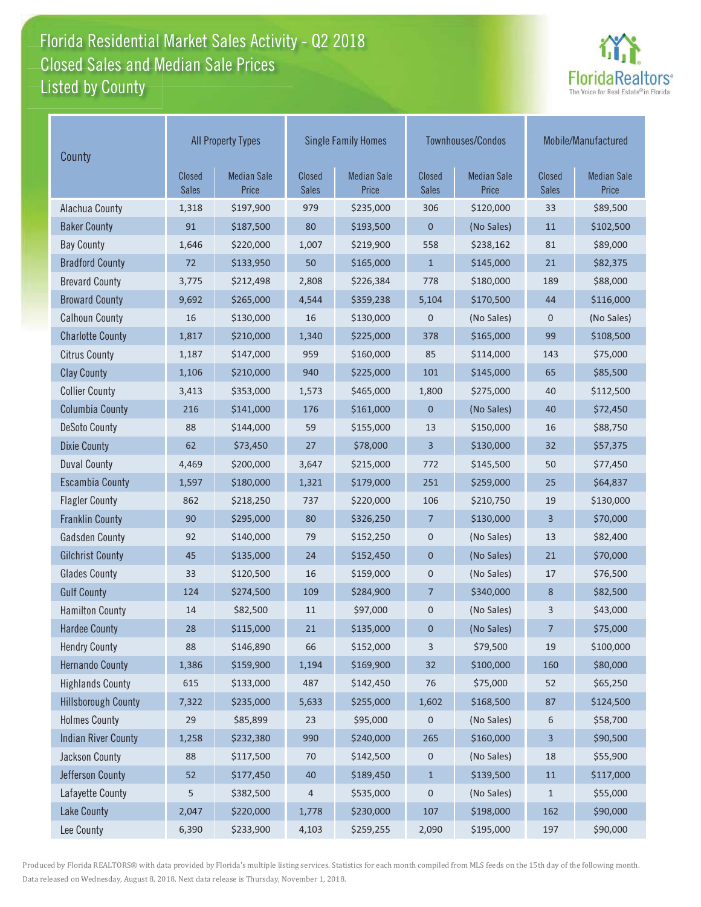#### Florida Residential Market Sales Activity - Q2 2018 Florida Residential Market Sales Activity Listed by County Closed Sales and Median Sale Prices



| County                     | <b>All Property Types</b>     |                             |                               | <b>Single Family Homes</b>  |                               | Townhouses/Condos           | Mobile/Manufactured    |                             |
|----------------------------|-------------------------------|-----------------------------|-------------------------------|-----------------------------|-------------------------------|-----------------------------|------------------------|-----------------------------|
|                            | <b>Closed</b><br><b>Sales</b> | <b>Median Sale</b><br>Price | <b>Closed</b><br><b>Sales</b> | <b>Median Sale</b><br>Price | <b>Closed</b><br><b>Sales</b> | <b>Median Sale</b><br>Price | Closed<br><b>Sales</b> | <b>Median Sale</b><br>Price |
| Alachua County             | 1,318                         | \$197,900                   | 979                           | \$235,000                   | 306                           | \$120,000                   | 33                     | \$89,500                    |
| <b>Baker County</b>        | 91                            | \$187,500                   | 80                            | \$193,500                   | 0                             | (No Sales)                  | $11\,$                 | \$102,500                   |
| <b>Bay County</b>          | 1,646                         | \$220,000                   | 1,007                         | \$219,900                   | 558                           | \$238,162                   | 81                     | \$89,000                    |
| <b>Bradford County</b>     | 72                            | \$133,950                   | 50                            | \$165,000                   | $\mathbf{1}$                  | \$145,000                   | 21                     | \$82,375                    |
| <b>Brevard County</b>      | 3,775                         | \$212,498                   | 2,808                         | \$226,384                   | 778                           | \$180,000                   | 189                    | \$88,000                    |
| <b>Broward County</b>      | 9,692                         | \$265,000                   | 4,544                         | \$359,238                   | 5,104                         | \$170,500                   | 44                     | \$116,000                   |
| <b>Calhoun County</b>      | 16                            | \$130,000                   | 16                            | \$130,000                   | 0                             | (No Sales)                  | $\mathbf 0$            | (No Sales)                  |
| <b>Charlotte County</b>    | 1,817                         | \$210,000                   | 1,340                         | \$225,000                   | 378                           | \$165,000                   | 99                     | \$108,500                   |
| <b>Citrus County</b>       | 1,187                         | \$147,000                   | 959                           | \$160,000                   | 85                            | \$114,000                   | 143                    | \$75,000                    |
| <b>Clay County</b>         | 1,106                         | \$210,000                   | 940                           | \$225,000                   | 101                           | \$145,000                   | 65                     | \$85,500                    |
| <b>Collier County</b>      | 3,413                         | \$353,000                   | 1,573                         | \$465,000                   | 1,800                         | \$275,000                   | 40                     | \$112,500                   |
| <b>Columbia County</b>     | 216                           | \$141,000                   | 176                           | \$161,000                   | 0                             | (No Sales)                  | 40                     | \$72,450                    |
| <b>DeSoto County</b>       | 88                            | \$144,000                   | 59                            | \$155,000                   | 13                            | \$150,000                   | 16                     | \$88,750                    |
| <b>Dixie County</b>        | 62                            | \$73,450                    | 27                            | \$78,000                    | 3                             | \$130,000                   | 32                     | \$57,375                    |
| <b>Duval County</b>        | 4,469                         | \$200,000                   | 3,647                         | \$215,000                   | 772                           | \$145,500                   | 50                     | \$77,450                    |
| <b>Escambia County</b>     | 1,597                         | \$180,000                   | 1,321                         | \$179,000                   | 251                           | \$259,000                   | 25                     | \$64,837                    |
| <b>Flagler County</b>      | 862                           | \$218,250                   | 737                           | \$220,000                   | 106                           | \$210,750                   | 19                     | \$130,000                   |
| <b>Franklin County</b>     | 90                            | \$295,000                   | 80                            | \$326,250                   | 7                             | \$130,000                   | 3                      | \$70,000                    |
| <b>Gadsden County</b>      | 92                            | \$140,000                   | 79                            | \$152,250                   | 0                             | (No Sales)                  | 13                     | \$82,400                    |
| <b>Gilchrist County</b>    | 45                            | \$135,000                   | 24                            | \$152,450                   | 0                             | (No Sales)                  | 21                     | \$70,000                    |
| <b>Glades County</b>       | 33                            | \$120,500                   | 16                            | \$159,000                   | 0                             | (No Sales)                  | 17                     | \$76,500                    |
| <b>Gulf County</b>         | 124                           | \$274,500                   | 109                           | \$284,900                   | 7                             | \$340,000                   | 8                      | \$82,500                    |
| <b>Hamilton County</b>     | 14                            | \$82,500                    | 11                            | \$97,000                    | 0                             | (No Sales)                  | 3                      | \$43,000                    |
| <b>Hardee County</b>       | 28                            | \$115,000                   | 21                            | \$135,000                   | 0                             | (No Sales)                  | 7                      | \$75,000                    |
| <b>Hendry County</b>       | 88                            | \$146,890                   | 66                            | \$152,000                   | 3                             | \$79,500                    | 19                     | \$100,000                   |
| <b>Hernando County</b>     | 1,386                         | \$159,900                   | 1,194                         | \$169,900                   | 32                            | \$100,000                   | 160                    | \$80,000                    |
| <b>Highlands County</b>    | 615                           | \$133,000                   | 487                           | \$142,450                   | 76                            | \$75,000                    | 52                     | \$65,250                    |
| <b>Hillsborough County</b> | 7,322                         | \$235,000                   | 5,633                         | \$255,000                   | 1,602                         | \$168,500                   | 87                     | \$124,500                   |
| <b>Holmes County</b>       | 29                            | \$85,899                    | 23                            | \$95,000                    | 0                             | (No Sales)                  | 6                      | \$58,700                    |
| <b>Indian River County</b> | 1,258                         | \$232,380                   | 990                           | \$240,000                   | 265                           | \$160,000                   | 3                      | \$90,500                    |
| Jackson County             | 88                            | \$117,500                   | 70                            | \$142,500                   | 0                             | (No Sales)                  | $18\,$                 | \$55,900                    |
| Jefferson County           | 52                            | \$177,450                   | 40                            | \$189,450                   | $\mathbf{1}$                  | \$139,500                   | $11\,$                 | \$117,000                   |
| Lafayette County           | 5                             | \$382,500                   | 4                             | \$535,000                   | 0                             | (No Sales)                  | $\mathbf{1}$           | \$55,000                    |
| <b>Lake County</b>         | 2,047                         | \$220,000                   | 1,778                         | \$230,000                   | 107                           | \$198,000                   | 162                    | \$90,000                    |
| Lee County                 | 6,390                         | \$233,900                   | 4,103                         | \$259,255                   | 2,090                         | \$195,000                   | 197                    | \$90,000                    |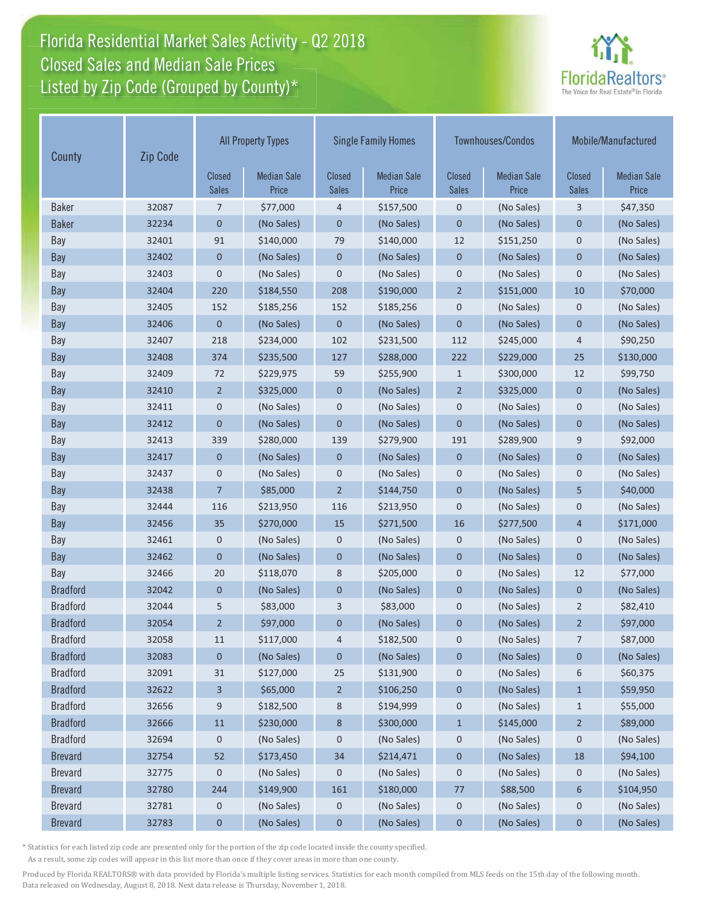# Florida Residential Market Sales Activity - Q2 2018 Florida Residential Market Sales Activity Closed Sales and Median Sale Prices<br>Listed by Zip Code (Grouped by County)\*



| County          | Zip Code | <b>All Property Types</b>     |                             | <b>Single Family Homes</b>    |                             |                               | <b>Townhouses/Condos</b>    | Mobile/Manufactured    |                             |
|-----------------|----------|-------------------------------|-----------------------------|-------------------------------|-----------------------------|-------------------------------|-----------------------------|------------------------|-----------------------------|
|                 |          | <b>Closed</b><br><b>Sales</b> | <b>Median Sale</b><br>Price | <b>Closed</b><br><b>Sales</b> | <b>Median Sale</b><br>Price | <b>Closed</b><br><b>Sales</b> | <b>Median Sale</b><br>Price | Closed<br><b>Sales</b> | <b>Median Sale</b><br>Price |
| <b>Baker</b>    | 32087    | 7                             | \$77,000                    | 4                             | \$157,500                   | $\mathbf 0$                   | (No Sales)                  | 3                      | \$47,350                    |
| <b>Baker</b>    | 32234    | 0                             | (No Sales)                  | 0                             | (No Sales)                  | $\mathbf 0$                   | (No Sales)                  | 0                      | (No Sales)                  |
| Bay             | 32401    | 91                            | \$140,000                   | 79                            | \$140,000                   | 12                            | \$151,250                   | $\mathbf 0$            | (No Sales)                  |
| Bay             | 32402    | 0                             | (No Sales)                  | $\mathbf 0$                   | (No Sales)                  | $\mathbf 0$                   | (No Sales)                  | $\mathbf 0$            | (No Sales)                  |
| Bay             | 32403    | 0                             | (No Sales)                  | $\boldsymbol{0}$              | (No Sales)                  | $\mathbf 0$                   | (No Sales)                  | $\boldsymbol{0}$       | (No Sales)                  |
| Bay             | 32404    | 220                           | \$184,550                   | 208                           | \$190,000                   | $\overline{2}$                | \$151,000                   | 10                     | \$70,000                    |
| Bay             | 32405    | 152                           | \$185,256                   | 152                           | \$185,256                   | $\mathbf 0$                   | (No Sales)                  | $\mathbf 0$            | (No Sales)                  |
| Bay             | 32406    | $\mathbf{0}$                  | (No Sales)                  | $\overline{0}$                | (No Sales)                  | $\overline{0}$                | (No Sales)                  | $\mathbf 0$            | (No Sales)                  |
| Bay             | 32407    | 218                           | \$234,000                   | 102                           | \$231,500                   | 112                           | \$245,000                   | $\overline{4}$         | \$90,250                    |
| Bay             | 32408    | 374                           | \$235,500                   | 127                           | \$288,000                   | 222                           | \$229,000                   | 25                     | \$130,000                   |
| Bay             | 32409    | 72                            | \$229,975                   | 59                            | \$255,900                   | $\mathbf{1}$                  | \$300,000                   | 12                     | \$99,750                    |
| Bay             | 32410    | $\overline{2}$                | \$325,000                   | $\mathbf 0$                   | (No Sales)                  | $\overline{2}$                | \$325,000                   | $\mathbf{0}$           | (No Sales)                  |
| Bay             | 32411    | 0                             | (No Sales)                  | $\pmb{0}$                     | (No Sales)                  | $\mathbf 0$                   | (No Sales)                  | $\mathbf 0$            | (No Sales)                  |
| Bay             | 32412    | $\overline{0}$                | (No Sales)                  | $\mathbf 0$                   | (No Sales)                  | $\mathbf 0$                   | (No Sales)                  | $\mathbf 0$            | (No Sales)                  |
| Bay             | 32413    | 339                           | \$280,000                   | 139                           | \$279,900                   | 191                           | \$289,900                   | 9                      | \$92,000                    |
| Bay             | 32417    | 0                             | (No Sales)                  | $\mathbf 0$                   | (No Sales)                  | $\mathbf 0$                   | (No Sales)                  | $\mathbf 0$            | (No Sales)                  |
| Bay             | 32437    | 0                             | (No Sales)                  | 0                             | (No Sales)                  | $\mathbf 0$                   | (No Sales)                  | $\boldsymbol{0}$       | (No Sales)                  |
| Bay             | 32438    | 7                             | \$85,000                    | $\overline{2}$                | \$144,750                   | $\mathbf 0$                   | (No Sales)                  | 5                      | \$40,000                    |
| Bay             | 32444    | 116                           | \$213,950                   | 116                           | \$213,950                   | $\mathbf 0$                   | (No Sales)                  | $\mathbf 0$            | (No Sales)                  |
| Bay             | 32456    | 35                            | \$270,000                   | 15                            | \$271,500                   | 16                            | \$277,500                   | $\overline{4}$         | \$171,000                   |
| Bay             | 32461    | 0                             | (No Sales)                  | 0                             | (No Sales)                  | 0                             | (No Sales)                  | 0                      | (No Sales)                  |
| Bay             | 32462    | $\overline{0}$                | (No Sales)                  | $\mathbf 0$                   | (No Sales)                  | $\overline{0}$                | (No Sales)                  | $\overline{0}$         | (No Sales)                  |
| Bay             | 32466    | 20                            | \$118,070                   | 8                             | \$205,000                   | $\mathbf 0$                   | (No Sales)                  | 12                     | \$77,000                    |
| <b>Bradford</b> | 32042    | 0                             | (No Sales)                  | 0                             | (No Sales)                  | $\mathbf 0$                   | (No Sales)                  | $\mathbf{0}$           | (No Sales)                  |
| <b>Bradford</b> | 32044    | 5                             | \$83,000                    | 3                             | \$83,000                    | $\mathbf 0$                   | (No Sales)                  | $\overline{2}$         | \$82,410                    |
| <b>Bradford</b> | 32054    | $\overline{2}$                | \$97,000                    | $\mathbf 0$                   | (No Sales)                  | $\mathbf 0$                   | (No Sales)                  | $\overline{2}$         | \$97,000                    |
| <b>Bradford</b> | 32058    | 11                            | \$117,000                   | 4                             | \$182,500                   | 0                             | (No Sales)                  | $\overline{7}$         | \$87,000                    |
| <b>Bradford</b> | 32083    | 0                             | (No Sales)                  | 0                             | (No Sales)                  | $\boldsymbol{0}$              | (No Sales)                  | 0                      | (No Sales)                  |
| <b>Bradford</b> | 32091    | 31                            | \$127,000                   | 25                            | \$131,900                   | $\mathbf 0$                   | (No Sales)                  | 6                      | \$60,375                    |
| <b>Bradford</b> | 32622    | 3                             | \$65,000                    | $\overline{2}$                | \$106,250                   | $\pmb{0}$                     | (No Sales)                  | $\mathbf{1}$           | \$59,950                    |
| <b>Bradford</b> | 32656    | 9                             | \$182,500                   | 8                             | \$194,999                   | 0                             | (No Sales)                  | $\mathbf{1}$           | \$55,000                    |
| <b>Bradford</b> | 32666    | $11\,$                        | \$230,000                   | 8                             | \$300,000                   | $\mathbf{1}$                  | \$145,000                   | $\overline{2}$         | \$89,000                    |
| <b>Bradford</b> | 32694    | 0                             | (No Sales)                  | 0                             | (No Sales)                  | $\mathbf 0$                   | (No Sales)                  | 0                      | (No Sales)                  |
| <b>Brevard</b>  | 32754    | 52                            | \$173,450                   | 34                            | \$214,471                   | $\pmb{0}$                     | (No Sales)                  | $18\,$                 | \$94,100                    |
| <b>Brevard</b>  | 32775    | 0                             | (No Sales)                  | 0                             | (No Sales)                  | 0                             | (No Sales)                  | 0                      | (No Sales)                  |
| <b>Brevard</b>  | 32780    | 244                           | \$149,900                   | 161                           | \$180,000                   | 77                            | \$88,500                    | 6                      | \$104,950                   |
| <b>Brevard</b>  | 32781    | 0                             | (No Sales)                  | 0                             | (No Sales)                  | $\boldsymbol{0}$              | (No Sales)                  | 0                      | (No Sales)                  |
| <b>Brevard</b>  | 32783    | 0                             | (No Sales)                  | $\pmb{0}$                     | (No Sales)                  | $\pmb{0}$                     | (No Sales)                  | $\pmb{0}$              | (No Sales)                  |

\* Statistics for each listed zip code are presented only for the portion of the zip code located inside the county specified.

As a result, some zip codes will appear in this list more than once if they cover areas in more than one county.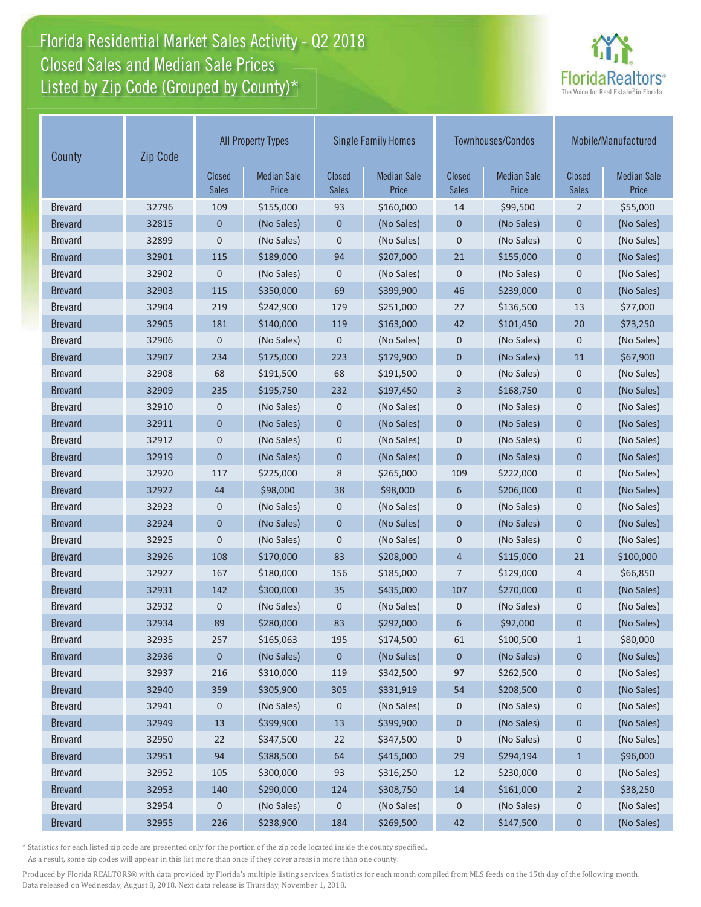# Florida Residential Market Sales Activity - Q2 2018 Florida Residential Market Sales Activity Closed Sales and Median Sale Prices<br>Listed by Zip Code (Grouped by County)\*



| Zip Code<br>County |       | <b>All Property Types</b>     |                             | <b>Single Family Homes</b>    |                             | <b>Townhouses/Condos</b>      |                             | Mobile/Manufactured    |                             |
|--------------------|-------|-------------------------------|-----------------------------|-------------------------------|-----------------------------|-------------------------------|-----------------------------|------------------------|-----------------------------|
|                    |       | <b>Closed</b><br><b>Sales</b> | <b>Median Sale</b><br>Price | <b>Closed</b><br><b>Sales</b> | <b>Median Sale</b><br>Price | <b>Closed</b><br><b>Sales</b> | <b>Median Sale</b><br>Price | Closed<br><b>Sales</b> | <b>Median Sale</b><br>Price |
| <b>Brevard</b>     | 32796 | 109                           | \$155,000                   | 93                            | \$160,000                   | 14                            | \$99,500                    | $\overline{2}$         | \$55,000                    |
| <b>Brevard</b>     | 32815 | 0                             | (No Sales)                  | 0                             | (No Sales)                  | $\mathbf 0$                   | (No Sales)                  | 0                      | (No Sales)                  |
| <b>Brevard</b>     | 32899 | 0                             | (No Sales)                  | 0                             | (No Sales)                  | $\mathbf 0$                   | (No Sales)                  | $\mathbf 0$            | (No Sales)                  |
| <b>Brevard</b>     | 32901 | 115                           | \$189,000                   | 94                            | \$207,000                   | 21                            | \$155,000                   | $\mathbf 0$            | (No Sales)                  |
| <b>Brevard</b>     | 32902 | $\mathbf 0$                   | (No Sales)                  | 0                             | (No Sales)                  | $\mathbf 0$                   | (No Sales)                  | $\mathbf 0$            | (No Sales)                  |
| <b>Brevard</b>     | 32903 | 115                           | \$350,000                   | 69                            | \$399,900                   | 46                            | \$239,000                   | $\mathbf 0$            | (No Sales)                  |
| <b>Brevard</b>     | 32904 | 219                           | \$242,900                   | 179                           | \$251,000                   | 27                            | \$136,500                   | 13                     | \$77,000                    |
| <b>Brevard</b>     | 32905 | 181                           | \$140,000                   | 119                           | \$163,000                   | 42                            | \$101,450                   | 20                     | \$73,250                    |
| <b>Brevard</b>     | 32906 | 0                             | (No Sales)                  | 0                             | (No Sales)                  | $\mathbf 0$                   | (No Sales)                  | $\mathbf 0$            | (No Sales)                  |
| <b>Brevard</b>     | 32907 | 234                           | \$175,000                   | 223                           | \$179,900                   | $\mathbf 0$                   | (No Sales)                  | 11                     | \$67,900                    |
| <b>Brevard</b>     | 32908 | 68                            | \$191,500                   | 68                            | \$191,500                   | $\mathbf 0$                   | (No Sales)                  | $\mathbf 0$            | (No Sales)                  |
| <b>Brevard</b>     | 32909 | 235                           | \$195,750                   | 232                           | \$197,450                   | 3                             | \$168,750                   | $\mathbf 0$            | (No Sales)                  |
| <b>Brevard</b>     | 32910 | 0                             | (No Sales)                  | 0                             | (No Sales)                  | $\mathbf 0$                   | (No Sales)                  | $\mathbf 0$            | (No Sales)                  |
| <b>Brevard</b>     | 32911 | $\mathbf 0$                   | (No Sales)                  | $\mathbf 0$                   | (No Sales)                  | $\mathbf 0$                   | (No Sales)                  | $\mathbf{0}$           | (No Sales)                  |
| <b>Brevard</b>     | 32912 | 0                             | (No Sales)                  | 0                             | (No Sales)                  | $\mathbf 0$                   | (No Sales)                  | 0                      | (No Sales)                  |
| <b>Brevard</b>     | 32919 | $\mathbf 0$                   | (No Sales)                  | $\mathbf 0$                   | (No Sales)                  | $\mathbf 0$                   | (No Sales)                  | $\mathbf 0$            | (No Sales)                  |
| <b>Brevard</b>     | 32920 | 117                           | \$225,000                   | 8                             | \$265,000                   | 109                           | \$222,000                   | $\mathbf 0$            | (No Sales)                  |
| <b>Brevard</b>     | 32922 | 44                            | \$98,000                    | 38                            | \$98,000                    | 6                             | \$206,000                   | $\mathbf 0$            | (No Sales)                  |
| <b>Brevard</b>     | 32923 | 0                             | (No Sales)                  | 0                             | (No Sales)                  | $\mathbf 0$                   | (No Sales)                  | $\mathbf 0$            | (No Sales)                  |
| <b>Brevard</b>     | 32924 | $\overline{0}$                | (No Sales)                  | $\overline{0}$                | (No Sales)                  | $\mathbf 0$                   | (No Sales)                  | $\mathbf{0}$           | (No Sales)                  |
| <b>Brevard</b>     | 32925 | $\mathbf 0$                   | (No Sales)                  | 0                             | (No Sales)                  | $\mathbf 0$                   | (No Sales)                  | $\mathbf 0$            | (No Sales)                  |
| <b>Brevard</b>     | 32926 | 108                           | \$170,000                   | 83                            | \$208,000                   | $\overline{4}$                | \$115,000                   | 21                     | \$100,000                   |
| <b>Brevard</b>     | 32927 | 167                           | \$180,000                   | 156                           | \$185,000                   | 7                             | \$129,000                   | 4                      | \$66,850                    |
| <b>Brevard</b>     | 32931 | 142                           | \$300,000                   | 35                            | \$435,000                   | 107                           | \$270,000                   | $\mathbf 0$            | (No Sales)                  |
| <b>Brevard</b>     | 32932 | 0                             | (No Sales)                  | 0                             | (No Sales)                  | $\mathbf 0$                   | (No Sales)                  | $\mathbf 0$            | (No Sales)                  |
| <b>Brevard</b>     | 32934 | 89                            | \$280,000                   | 83                            | \$292,000                   | 6                             | \$92,000                    | $\mathbf 0$            | (No Sales)                  |
| <b>Brevard</b>     | 32935 | 257                           | \$165,063                   | 195                           | \$174,500                   | 61                            | \$100,500                   | $\mathbf{1}$           | \$80,000                    |
| <b>Brevard</b>     | 32936 | 0                             | (No Sales)                  | 0                             | (No Sales)                  | $\mathbf 0$                   | (No Sales)                  | 0                      | (No Sales)                  |
| <b>Brevard</b>     | 32937 | 216                           | \$310,000                   | 119                           | \$342,500                   | 97                            | \$262,500                   | $\mathbf 0$            | (No Sales)                  |
| <b>Brevard</b>     | 32940 | 359                           | \$305,900                   | 305                           | \$331,919                   | 54                            | \$208,500                   | $\pmb{0}$              | (No Sales)                  |
| <b>Brevard</b>     | 32941 | 0                             | (No Sales)                  | $\mathbf 0$                   | (No Sales)                  | 0                             | (No Sales)                  | 0                      | (No Sales)                  |
| <b>Brevard</b>     | 32949 | 13                            | \$399,900                   | $13$                          | \$399,900                   | $\pmb{0}$                     | (No Sales)                  | $\pmb{0}$              | (No Sales)                  |
| <b>Brevard</b>     | 32950 | 22                            | \$347,500                   | 22                            | \$347,500                   | 0                             | (No Sales)                  | $\mathbf 0$            | (No Sales)                  |
| <b>Brevard</b>     | 32951 | 94                            | \$388,500                   | 64                            | \$415,000                   | 29                            | \$294,194                   | $\mathbf{1}$           | \$96,000                    |
| <b>Brevard</b>     | 32952 | 105                           | \$300,000                   | 93                            | \$316,250                   | 12                            | \$230,000                   | $\mathbf 0$            | (No Sales)                  |
| <b>Brevard</b>     | 32953 | 140                           | \$290,000                   | 124                           | \$308,750                   | 14                            | \$161,000                   | $\overline{2}$         | \$38,250                    |
| <b>Brevard</b>     | 32954 | 0                             | (No Sales)                  | 0                             | (No Sales)                  | 0                             | (No Sales)                  | 0                      | (No Sales)                  |
| <b>Brevard</b>     | 32955 | 226                           | \$238,900                   | 184                           | \$269,500                   | 42                            | \$147,500                   | $\pmb{0}$              | (No Sales)                  |

\* Statistics for each listed zip code are presented only for the portion of the zip code located inside the county specified.

As a result, some zip codes will appear in this list more than once if they cover areas in more than one county.